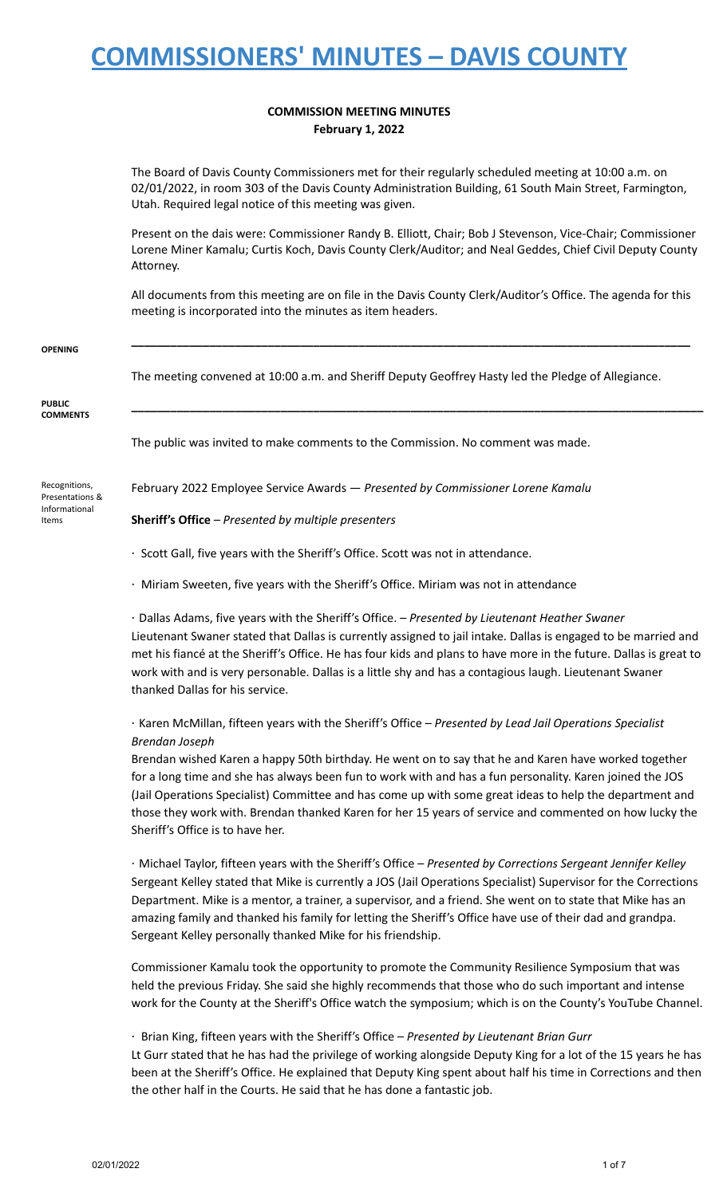### **COMMISSION MEETING MINUTES February 1, 2022**

The Board of Davis County Commissioners met for their regularly scheduled meeting at 10:00 a.m. on 02/01/2022, in room 303 of the Davis County Administration Building, 61 South Main Street, Farmington, Utah. Required legal notice of this meeting was given.

Present on the dais were: Commissioner Randy B. Elliott, Chair; Bob J Stevenson, Vice-Chair; Commissioner Lorene Miner Kamalu; Curtis Koch, Davis County Clerk/Auditor; and Neal Geddes, Chief Civil Deputy County Attorney.

All documents from this meeting are on file in the Davis County Clerk/Auditor's Office. The agenda for this meeting is incorporated into the minutes as item headers.

**\_\_\_\_\_\_\_\_\_\_\_\_\_\_\_\_\_\_\_\_\_\_\_\_\_\_\_\_\_\_\_\_\_\_\_\_\_\_\_\_\_\_\_\_\_\_\_\_\_\_\_\_\_\_\_\_\_\_\_\_\_\_\_\_\_\_\_\_\_\_\_\_\_\_\_\_\_\_\_\_\_\_\_\_\_\_**

**\_\_\_\_\_\_\_\_\_\_\_\_\_\_\_\_\_\_\_\_\_\_\_\_\_\_\_\_\_\_\_\_\_\_\_\_\_\_\_\_\_\_\_\_\_\_\_\_\_\_\_\_\_\_\_\_\_\_\_\_\_\_\_\_\_\_\_\_\_\_\_\_\_\_\_\_\_\_\_\_\_\_\_\_\_\_\_\_**

#### **OPENING**

The meeting convened at 10:00 a.m. and Sheriff Deputy Geoffrey Hasty led the Pledge of Allegiance.

#### **PUBLIC COMMENTS**

The public was invited to make comments to the Commission. No comment was made.

Recognitions, Presentations & Informational Items

February 2022 Employee Service Awards — *Presented by Commissioner Lorene Kamalu*

**Sheriff's Office** *– Presented by multiple presenters*

- · Scott Gall, five years with the Sheriff's Office. Scott was not in attendance.
- · Miriam Sweeten, five years with the Sheriff's Office. Miriam was not in attendance

· Dallas Adams, five years with the Sheriff's Office. *– Presented by Lieutenant Heather Swaner* Lieutenant Swaner stated that Dallas is currently assigned to jail intake. Dallas is engaged to be married and met his fiancé at the Sheriff's Office. He has four kids and plans to have more in the future. Dallas is great to work with and is very personable. Dallas is a little shy and has a contagious laugh. Lieutenant Swaner thanked Dallas for his service.

## · Karen McMillan, fifteen years with the Sheriff's Office *– Presented by Lead Jail Operations Specialist Brendan Joseph*

Brendan wished Karen a happy 50th birthday. He went on to say that he and Karen have worked together for a long time and she has always been fun to work with and has a fun personality. Karen joined the JOS (Jail Operations Specialist) Committee and has come up with some great ideas to help the department and those they work with. Brendan thanked Karen for her 15 years of service and commented on how lucky the Sheriff's Office is to have her.

· Michael Taylor, fifteen years with the Sheriff's Office *– Presented by Corrections Sergeant Jennifer Kelley* Sergeant Kelley stated that Mike is currently a JOS (Jail Operations Specialist) Supervisor for the Corrections Department. Mike is a mentor, a trainer, a supervisor, and a friend. She went on to state that Mike has an amazing family and thanked his family for letting the Sheriff's Office have use of their dad and grandpa. Sergeant Kelley personally thanked Mike for his friendship.

Commissioner Kamalu took the opportunity to promote the Community Resilience Symposium that was held the previous Friday. She said she highly recommends that those who do such important and intense work for the County at the Sheriff's Office watch the symposium; which is on the County's YouTube Channel.

### · Brian King, fifteen years with the Sheriff's Office *– Presented by Lieutenant Brian Gurr*

Lt Gurr stated that he has had the privilege of working alongside Deputy King for a lot of the 15 years he has been at the Sheriff's Office. He explained that Deputy King spent about half his time in Corrections and then the other half in the Courts. He said that he has done a fantastic job.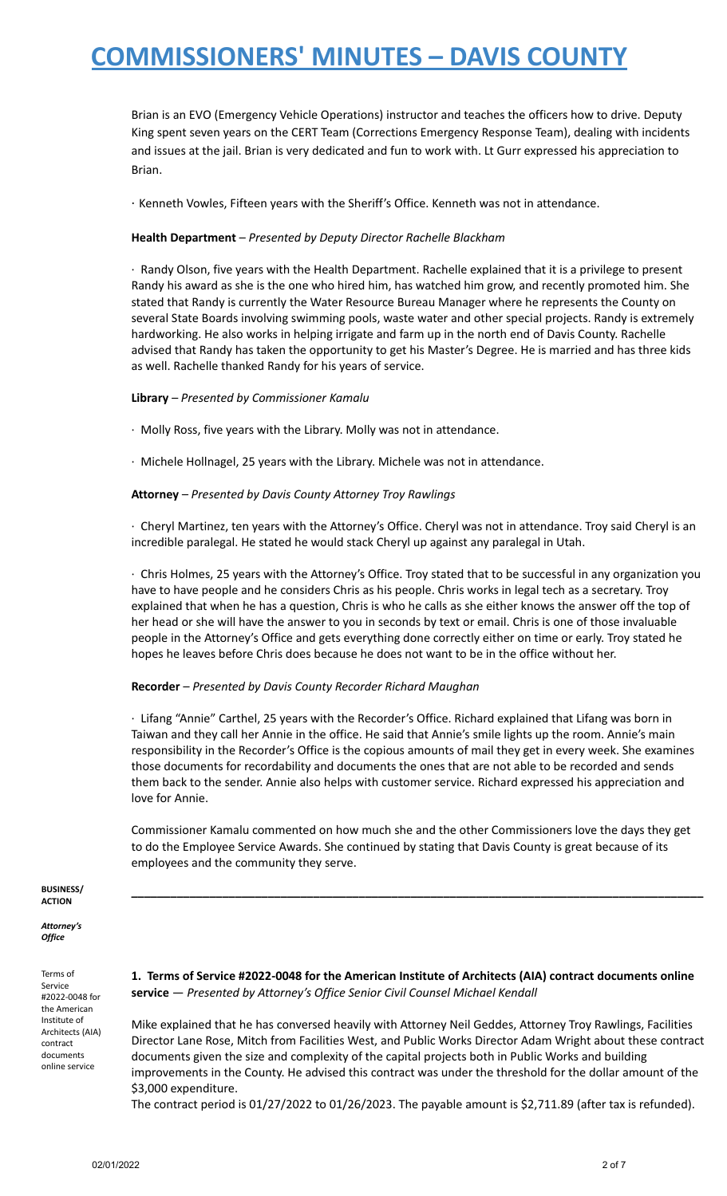Brian is an EVO (Emergency Vehicle Operations) instructor and teaches the officers how to drive. Deputy King spent seven years on the CERT Team (Corrections Emergency Response Team), dealing with incidents and issues at the jail. Brian is very dedicated and fun to work with. Lt Gurr expressed his appreciation to Brian.

· Kenneth Vowles, Fifteen years with the Sheriff's Office. Kenneth was not in attendance.

### **Health Department** *– Presented by Deputy Director Rachelle Blackham*

· Randy Olson, five years with the Health Department. Rachelle explained that it is a privilege to present Randy his award as she is the one who hired him, has watched him grow, and recently promoted him. She stated that Randy is currently the Water Resource Bureau Manager where he represents the County on several State Boards involving swimming pools, waste water and other special projects. Randy is extremely hardworking. He also works in helping irrigate and farm up in the north end of Davis County. Rachelle advised that Randy has taken the opportunity to get his Master's Degree. He is married and has three kids as well. Rachelle thanked Randy for his years of service.

### **Library** *– Presented by Commissioner Kamalu*

- · Molly Ross, five years with the Library. Molly was not in attendance.
- · Michele Hollnagel, 25 years with the Library. Michele was not in attendance.

### **Attorney** *– Presented by Davis County Attorney Troy Rawlings*

· Cheryl Martinez, ten years with the Attorney's Office. Cheryl was not in attendance. Troy said Cheryl is an incredible paralegal. He stated he would stack Cheryl up against any paralegal in Utah.

· Chris Holmes, 25 years with the Attorney's Office. Troy stated that to be successful in any organization you have to have people and he considers Chris as his people. Chris works in legal tech as a secretary. Troy explained that when he has a question, Chris is who he calls as she either knows the answer off the top of her head or she will have the answer to you in seconds by text or email. Chris is one of those invaluable people in the Attorney's Office and gets everything done correctly either on time or early. Troy stated he hopes he leaves before Chris does because he does not want to be in the office without her.

### **Recorder** *– Presented by Davis County Recorder Richard Maughan*

· Lifang "Annie" Carthel, 25 years with the Recorder's Office. Richard explained that Lifang was born in Taiwan and they call her Annie in the office. He said that Annie's smile lights up the room. Annie's main responsibility in the Recorder's Office is the copious amounts of mail they get in every week. She examines those documents for recordability and documents the ones that are not able to be recorded and sends them back to the sender. Annie also helps with customer service. Richard expressed his appreciation and love for Annie.

Commissioner Kamalu commented on how much she and the other Commissioners love the days they get to do the Employee Service Awards. She continued by stating that Davis County is great because of its employees and the community they serve.

**\_\_\_\_\_\_\_\_\_\_\_\_\_\_\_\_\_\_\_\_\_\_\_\_\_\_\_\_\_\_\_\_\_\_\_\_\_\_\_\_\_\_\_\_\_\_\_\_\_\_\_\_\_\_\_\_\_\_\_\_\_\_\_\_\_\_\_\_\_\_\_\_\_\_\_\_\_\_\_\_\_\_\_\_\_\_\_\_**

#### **BUSINESS/ ACTION**

*Attorney's Office*

Terms of Service #2022-0048 for the American Institute of Architects (AIA) contract documents online service

**1. Terms of Service #2022-0048 for the American Institute of Architects (AIA) contract documents online service** — *Presented by Attorney's Office Senior Civil Counsel Michael Kendall*

Mike explained that he has conversed heavily with Attorney Neil Geddes, Attorney Troy Rawlings, Facilities Director Lane Rose, Mitch from Facilities West, and Public Works Director Adam Wright about these contract documents given the size and complexity of the capital projects both in Public Works and building improvements in the County. He advised this contract was under the threshold for the dollar amount of the \$3,000 expenditure.

The contract period is  $01/27/2022$  to  $01/26/2023$ . The payable amount is \$2,711.89 (after tax is refunded).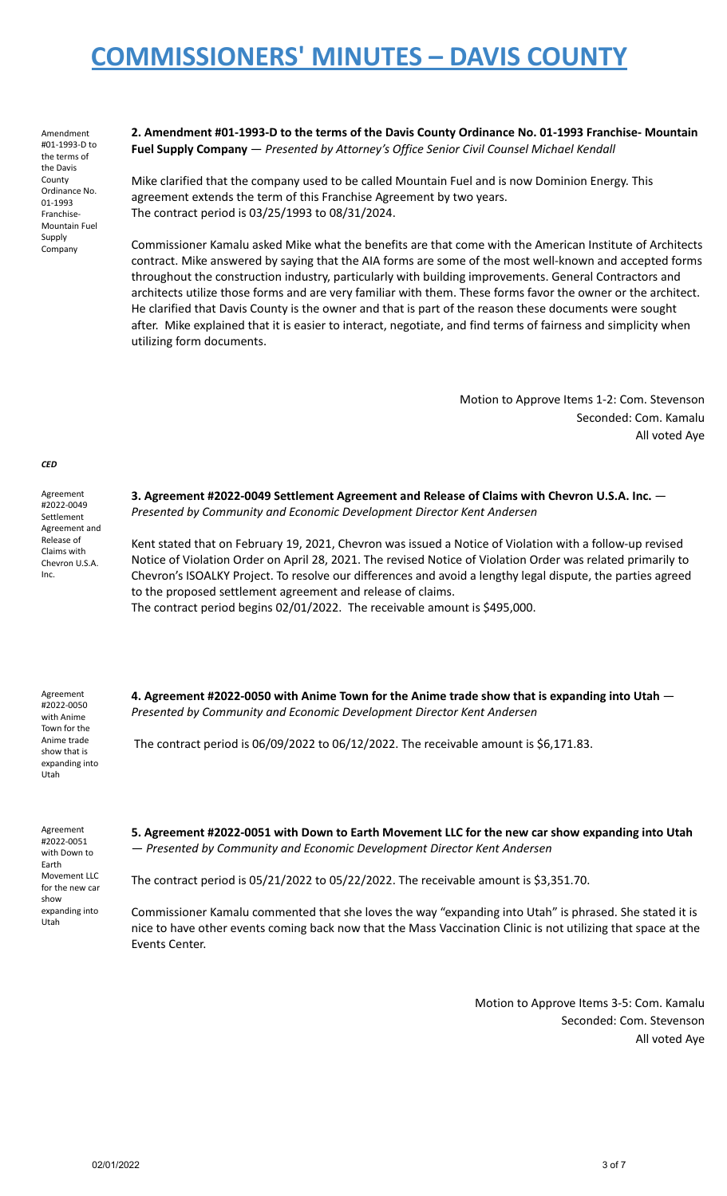Amendment #01-1993-D to the terms of the Davis County Ordinance No. 01-1993 Franchise-Mountain Fuel Supply Company

**2. Amendment #01-1993-D to the terms of the Davis County Ordinance No. 01-1993 Franchise- Mountain Fuel Supply Company** — *Presented by Attorney's Office Senior Civil Counsel Michael Kendall*

Mike clarified that the company used to be called Mountain Fuel and is now Dominion Energy. This agreement extends the term of this Franchise Agreement by two years. The contract period is 03/25/1993 to 08/31/2024.

Commissioner Kamalu asked Mike what the benefits are that come with the American Institute of Architects contract. Mike answered by saying that the AIA forms are some of the most well-known and accepted forms throughout the construction industry, particularly with building improvements. General Contractors and architects utilize those forms and are very familiar with them. These forms favor the owner or the architect. He clarified that Davis County is the owner and that is part of the reason these documents were sought after. Mike explained that it is easier to interact, negotiate, and find terms of fairness and simplicity when utilizing form documents.

> Motion to Approve Items 1-2: Com. Stevenson Seconded: Com. Kamalu All voted Aye

*CED*

Agreement #2022-0049 Settlement Agreement and Release of Claims with Chevron U.S.A. Inc.

**3. Agreement #2022-0049 Settlement Agreement and Release of Claims with Chevron U.S.A. Inc.** — *Presented by Community and Economic Development Director Kent Andersen*

Kent stated that on February 19, 2021, Chevron was issued a Notice of Violation with a follow-up revised Notice of Violation Order on April 28, 2021. The revised Notice of Violation Order was related primarily to Chevron's ISOALKY Project. To resolve our differences and avoid a lengthy legal dispute, the parties agreed to the proposed settlement agreement and release of claims. The contract period begins 02/01/2022. The receivable amount is \$495,000.

Agreement #2022-0050 with Anime Town for the Anime trade show that is expanding into Utah

**4. Agreement #2022-0050 with Anime Town for the Anime trade show that is expanding into Utah** — *Presented by Community and Economic Development Director Kent Andersen*

The contract period is 06/09/2022 to 06/12/2022. The receivable amount is \$6,171.83.

Agreement #2022-0051 with Down to Earth Movement LLC for the new car show expanding into Utah

**5. Agreement #2022-0051 with Down to Earth Movement LLC for the new car show expanding into Utah** — *Presented by Community and Economic Development Director Kent Andersen*

The contract period is 05/21/2022 to 05/22/2022. The receivable amount is \$3,351.70.

Commissioner Kamalu commented that she loves the way "expanding into Utah" is phrased. She stated it is nice to have other events coming back now that the Mass Vaccination Clinic is not utilizing that space at the Events Center.

> Motion to Approve Items 3-5: Com. Kamalu Seconded: Com. Stevenson All voted Aye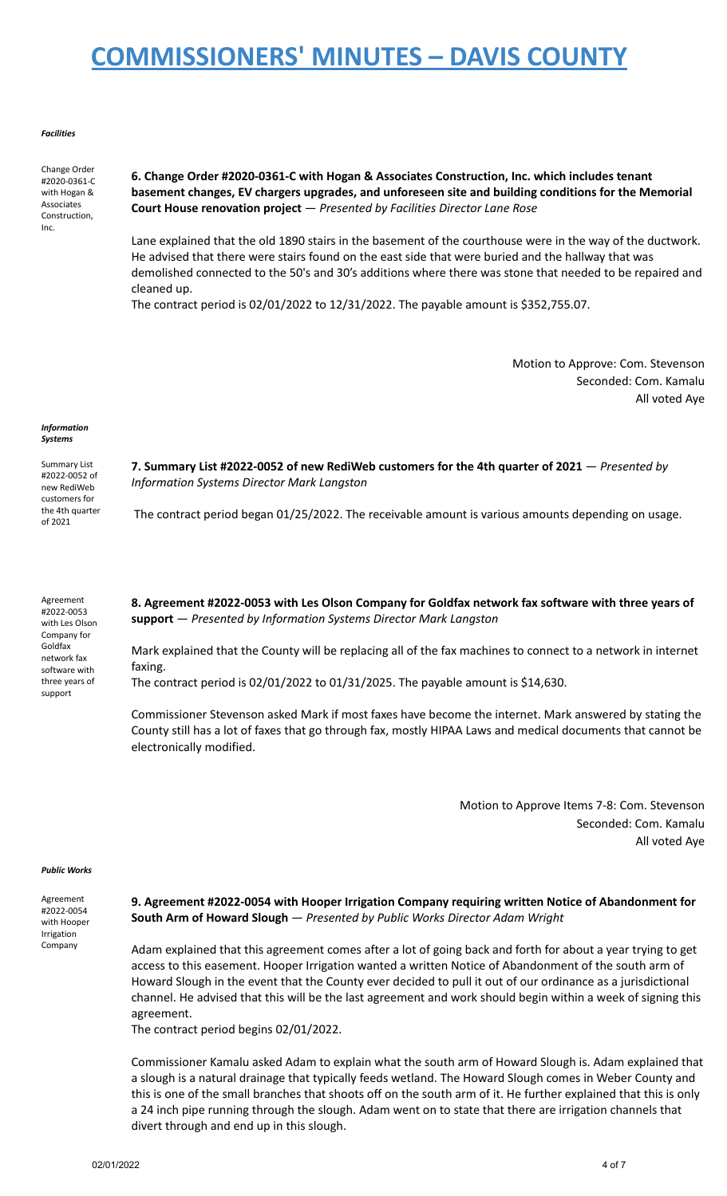#### *Facilities*

Change Order #2020-0361-C with Hogan & Associates Construction, Inc.

**6. Change Order #2020-0361-C with Hogan & Associates Construction, Inc. which includes tenant basement changes, EV chargers upgrades, and unforeseen site and building conditions for the Memorial Court House renovation project** — *Presented by Facilities Director Lane Rose*

Lane explained that the old 1890 stairs in the basement of the courthouse were in the way of the ductwork. He advised that there were stairs found on the east side that were buried and the hallway that was demolished connected to the 50's and 30's additions where there was stone that needed to be repaired and cleaned up.

The contract period is 02/01/2022 to 12/31/2022. The payable amount is \$352,755.07.

Motion to Approve: Com. Stevenson Seconded: Com. Kamalu All voted Aye

#### *Information Systems*

Summary List #2022-0052 of new RediWeb customers for the 4th quarter of 2021

Agreement #2022-0053 with Les Olson Company for Goldfax network fax software with three years of support

**7. Summary List #2022-0052 of new RediWeb customers for the 4th quarter of 2021** — *Presented by Information Systems Director Mark Langston*

The contract period began 01/25/2022. The receivable amount is various amounts depending on usage.

**8. Agreement #2022-0053 with Les Olson Company for Goldfax network fax software with three years of support** — *Presented by Information Systems Director Mark Langston*

Mark explained that the County will be replacing all of the fax machines to connect to a network in internet faxing.

The contract period is 02/01/2022 to 01/31/2025. The payable amount is \$14,630.

Commissioner Stevenson asked Mark if most faxes have become the internet. Mark answered by stating the County still has a lot of faxes that go through fax, mostly HIPAA Laws and medical documents that cannot be electronically modified.

> Motion to Approve Items 7-8: Com. Stevenson Seconded: Com. Kamalu All voted Aye

#### *Public Works*

Agreement #2022-0054 with Hooper Irrigation Company

**9. Agreement #2022-0054 with Hooper Irrigation Company requiring written Notice of Abandonment for South Arm of Howard Slough** — *Presented by Public Works Director Adam Wright*

Adam explained that this agreement comes after a lot of going back and forth for about a year trying to get access to this easement. Hooper Irrigation wanted a written Notice of Abandonment of the south arm of Howard Slough in the event that the County ever decided to pull it out of our ordinance as a jurisdictional channel. He advised that this will be the last agreement and work should begin within a week of signing this agreement.

The contract period begins 02/01/2022.

Commissioner Kamalu asked Adam to explain what the south arm of Howard Slough is. Adam explained that a slough is a natural drainage that typically feeds wetland. The Howard Slough comes in Weber County and this is one of the small branches that shoots off on the south arm of it. He further explained that this is only a 24 inch pipe running through the slough. Adam went on to state that there are irrigation channels that divert through and end up in this slough.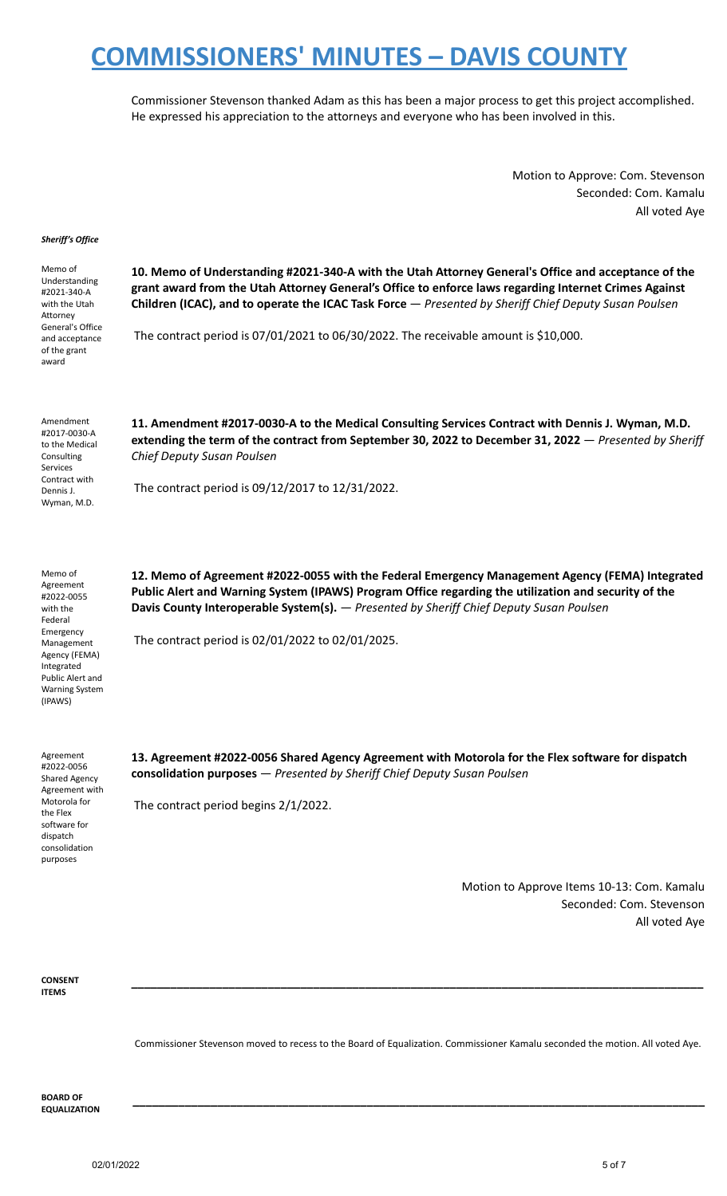Commissioner Stevenson thanked Adam as this has been a major process to get this project accomplished. He expressed his appreciation to the attorneys and everyone who has been involved in this.

> Motion to Approve: Com. Stevenson Seconded: Com. Kamalu All voted Aye

#### *Sheriff's Office*

Memo of Understanding #2021-340-A with the Utah Attorney General's Office and acceptance of the grant award

**10. Memo of Understanding #2021-340-A with the Utah Attorney General's Office and acceptance of the grant award from the Utah Attorney General's Office to enforce laws regarding Internet Crimes Against Children (ICAC), and to operate the ICAC Task Force** — *Presented by Sheriff Chief Deputy Susan Poulsen*

The contract period is 07/01/2021 to 06/30/2022. The receivable amount is \$10,000.

Amendment #2017-0030-A to the Medical **Consulting** Services Contract with Dennis J. Wyman, M.D.

**11. Amendment #2017-0030-A to the Medical Consulting Services Contract with Dennis J. Wyman, M.D. extending the term of the contract from September 30, 2022 to December 31, 2022** — *Presented by Sheriff Chief Deputy Susan Poulsen*

The contract period is 09/12/2017 to 12/31/2022.

Memo of Agreement #2022-0055 with the Federal Emergency Management Agency (FEMA) Integrated Public Alert and Warning System (IPAWS)

**12. Memo of Agreement #2022-0055 with the Federal Emergency Management Agency (FEMA) Integrated Public Alert and Warning System (IPAWS) Program Office regarding the utilization and security of the Davis County Interoperable System(s).** — *Presented by Sheriff Chief Deputy Susan Poulsen*

The contract period is 02/01/2022 to 02/01/2025.

Agreement #2022-0056 Shared Agency Agreement with Motorola for the Flex software for dispatch consolidation purposes

**13. Agreement #2022-0056 Shared Agency Agreement with Motorola for the Flex software for dispatch consolidation purposes** — *Presented by Sheriff Chief Deputy Susan Poulsen*

The contract period begins 2/1/2022.

Motion to Approve Items 10-13: Com. Kamalu Seconded: Com. Stevenson All voted Aye

**CONSENT ITEMS**

Commissioner Stevenson moved to recess to the Board of Equalization. Commissioner Kamalu seconded the motion. All voted Aye.

**\_\_\_\_\_\_\_\_\_\_\_\_\_\_\_\_\_\_\_\_\_\_\_\_\_\_\_\_\_\_\_\_\_\_\_\_\_\_\_\_\_\_\_\_\_\_\_\_\_\_\_\_\_\_\_\_\_\_\_\_\_\_\_\_\_\_\_\_\_\_\_\_\_\_\_\_\_\_\_\_\_\_\_\_\_\_\_\_**

**\_\_\_\_\_\_\_\_\_\_\_\_\_\_\_\_\_\_\_\_\_\_\_\_\_\_\_\_\_\_\_\_\_\_\_\_\_\_\_\_\_\_\_\_\_\_\_\_\_\_\_\_\_\_\_\_\_\_\_\_\_\_\_\_\_\_\_\_\_\_\_\_\_\_\_\_\_\_\_\_\_\_\_\_\_\_\_\_**

**BOARD OF EQUALIZATION**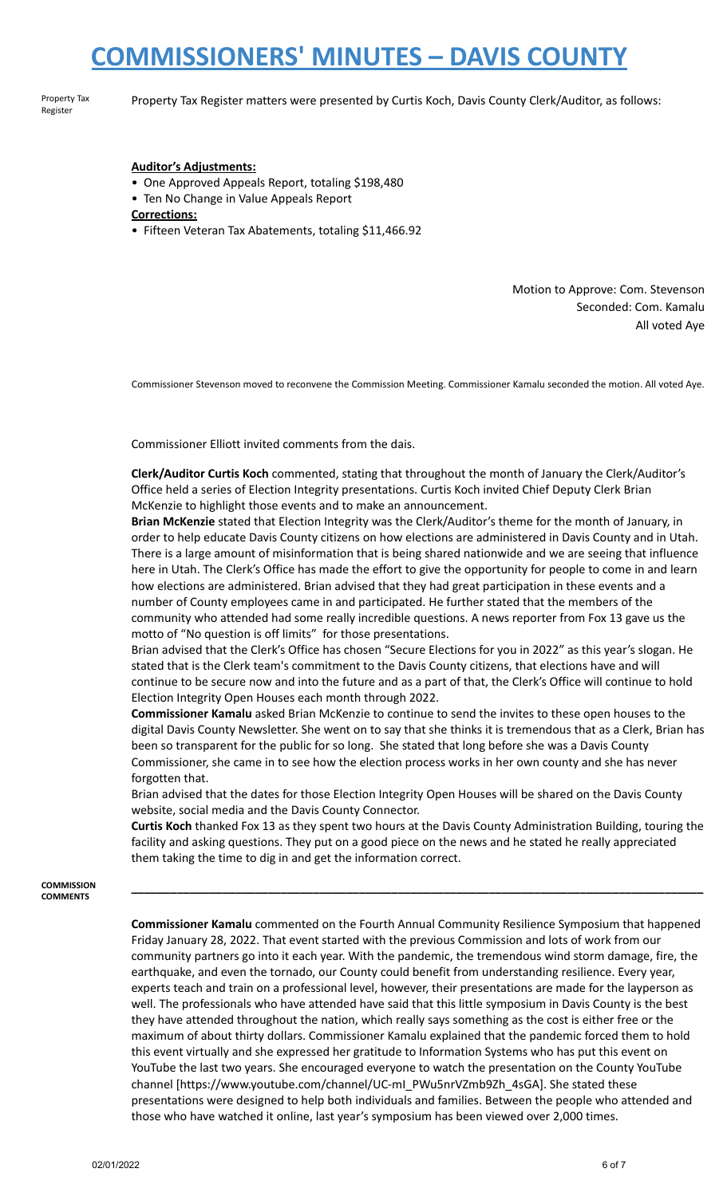Property Tax Register

Property Tax Register matters were presented by Curtis Koch, Davis County Clerk/Auditor, as follows:

### **Auditor's Adjustments:**

- One Approved Appeals Report, totaling \$198,480
- Ten No Change in Value Appeals Report

**Corrections:**

• Fifteen Veteran Tax Abatements, totaling \$11,466.92

Motion to Approve: Com. Stevenson Seconded: Com. Kamalu All voted Aye

Commissioner Stevenson moved to reconvene the Commission Meeting. Commissioner Kamalu seconded the motion. All voted Aye.

Commissioner Elliott invited comments from the dais.

**Clerk/Auditor Curtis Koch** commented, stating that throughout the month of January the Clerk/Auditor's Office held a series of Election Integrity presentations. Curtis Koch invited Chief Deputy Clerk Brian McKenzie to highlight those events and to make an announcement.

**Brian McKenzie** stated that Election Integrity was the Clerk/Auditor's theme for the month of January, in order to help educate Davis County citizens on how elections are administered in Davis County and in Utah. There is a large amount of misinformation that is being shared nationwide and we are seeing that influence here in Utah. The Clerk's Office has made the effort to give the opportunity for people to come in and learn how elections are administered. Brian advised that they had great participation in these events and a number of County employees came in and participated. He further stated that the members of the community who attended had some really incredible questions. A news reporter from Fox 13 gave us the motto of "No question is off limits" for those presentations.

Brian advised that the Clerk's Office has chosen "Secure Elections for you in 2022" as this year's slogan. He stated that is the Clerk team's commitment to the Davis County citizens, that elections have and will continue to be secure now and into the future and as a part of that, the Clerk's Office will continue to hold Election Integrity Open Houses each month through 2022.

**Commissioner Kamalu** asked Brian McKenzie to continue to send the invites to these open houses to the digital Davis County Newsletter. She went on to say that she thinks it is tremendous that as a Clerk, Brian has been so transparent for the public for so long. She stated that long before she was a Davis County Commissioner, she came in to see how the election process works in her own county and she has never forgotten that.

Brian advised that the dates for those Election Integrity Open Houses will be shared on the Davis County website, social media and the Davis County Connector.

**Curtis Koch** thanked Fox 13 as they spent two hours at the Davis County Administration Building, touring the facility and asking questions. They put on a good piece on the news and he stated he really appreciated them taking the time to dig in and get the information correct.

**\_\_\_\_\_\_\_\_\_\_\_\_\_\_\_\_\_\_\_\_\_\_\_\_\_\_\_\_\_\_\_\_\_\_\_\_\_\_\_\_\_\_\_\_\_\_\_\_\_\_\_\_\_\_\_\_\_\_\_\_\_\_\_\_\_\_\_\_\_\_\_\_\_\_\_\_\_\_\_\_\_\_\_\_\_\_\_\_**

**COMMISSION COMMENTS**

> **Commissioner Kamalu** commented on the Fourth Annual Community Resilience Symposium that happened Friday January 28, 2022. That event started with the previous Commission and lots of work from our community partners go into it each year. With the pandemic, the tremendous wind storm damage, fire, the earthquake, and even the tornado, our County could benefit from understanding resilience. Every year, experts teach and train on a professional level, however, their presentations are made for the layperson as well. The professionals who have attended have said that this little symposium in Davis County is the best they have attended throughout the nation, which really says something as the cost is either free or the maximum of about thirty dollars. Commissioner Kamalu explained that the pandemic forced them to hold this event virtually and she expressed her gratitude to Information Systems who has put this event on YouTube the last two years. She encouraged everyone to watch the presentation on the County YouTube channel [https://www.youtube.com/channel/UC-mI\_PWu5nrVZmb9Zh\_4sGA]. She stated these presentations were designed to help both individuals and families. Between the people who attended and those who have watched it online, last year's symposium has been viewed over 2,000 times.